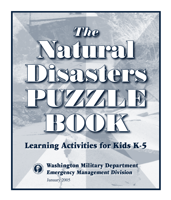# Natural Disasters PUZZALE BOOK *The*

#### Learning Activities for Kids K-5



Washington Military Department Emergency Management Division

January 2005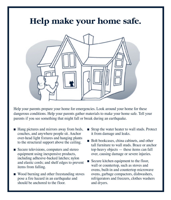#### **Help make your home safe.**



Help your parents prepare your home for emergencies. Look around your home for these dangerous conditions. Help your parents gather materials to make your home safe. Tell your parents if you see something that might fall or break during an earthquake.

- Hang pictures and mirrors away from beds, couches, and anywhere people sit. Anchor over-head light fixtures and hanging plants to the structural support above the ceiling.
- Secure televisions, computers and stereo equipment using inexpensive products, including adhesive-backed latches; nylon and elastic cords; and shelf edges to prevent items from falling.
- Wood burning and other freestanding stoves pose a fire hazard in an earthquake and should be anchored to the floor.
- Strap the water heater to wall studs. Protect it from damage and leaks.
- Bolt bookcases, china cabinets, and other tall furniture to wall studs. Brace or anchor top-heavy objects — these items can fall over, causing damage or severe injuries.
- Secure kitchen equipment to the floor, wall or countertop, such as stoves and ovens, built-in and countertop microwave ovens, garbage compactors, dishwashers, refrigerators and freezers, clothes washers and dryers.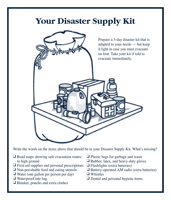#### **Your Disaster Supply Kit**



Write the words on the items above that should be in your Disaster Supply Kit. What's missing?

- ❑ Road maps showing safe evacuation routes to high ground
- ❑ First-aid supplies and personal prescriptions
- ❑ Non-perishable food and eating utensils
- ❑ Water (one gallon per person per day)
- ❑ Waterproof tote bag
- ❑ Blanket, poncho and extra clothes
- ❑ Plastic bags for garbage and waste
- ❑ Rubber, latex, and heavy-duty gloves
- ❑ Flashlights (extra batteries)
- ❑ Battery-operated AM radio (extra batteries)
- ❑ Whistles
- ❑ Dental and personal hygiene items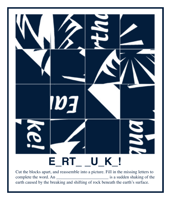## **E\_RT\_ \_U\_K\_!**

Cut the blocks apart, and reassemble into a picture. Fill in the missing letters to complete the word. An \_\_\_\_\_\_\_\_\_\_\_\_\_\_\_\_\_\_\_\_\_\_\_\_\_\_\_\_\_\_\_\_\_\_ is a sudden shaking of the earth caused by the breaking and shifting of rock beneath the earth's surface.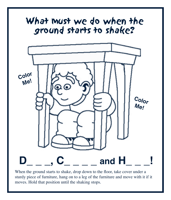

When the ground starts to shake, drop down to the floor, take cover under a sturdy piece of furniture, hang on to a leg of the furniture and move with it if it moves. Hold that position until the shaking stops.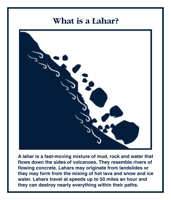#### **What is a Lahar?**



**A lahar is a fast-moving mixture of mud, rock and water that flows down the sides of volcanoes. They resemble rivers of flowing concrete. Lahars may originate from landslides or they may form from the mixing of hot lava and snow and ice water. Lahars travel at speeds up to 50 miles an hour and they can destroy nearly everything within their paths.**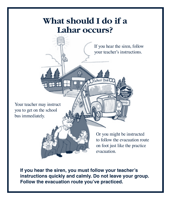#### **What should I do if a Lahar occurs?**

If you hear the siren, follow your teacher's instructions.

Your teacher may instruct you to get on the school bus immediately.

> Or you might be instructed to follow the evacuation route on foot just like the practice evacuation.

**If you hear the siren, you must follow your teacher's instructions quickly and calmly. Do not leave your group. Follow the evacuation route you've practiced.**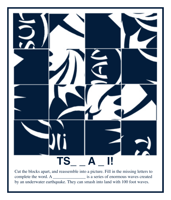

Cut the blocks apart, and reassemble into a picture. Fill in the missing letters to complete the word. A \_\_\_\_\_\_\_\_\_\_\_\_\_\_\_ is a series of enormous waves created by an underwater earthquake. They can smash into land with 100 foot waves.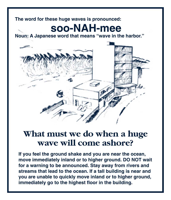#### **The word for these huge waves is pronounced:**

### **soo-NAH-mee**

**Noun: A Japanese word that means "wave in the harbor."**



#### **What must we do when a huge wave will come ashore?**

**If you feel the ground shake and you are near the ocean, move immediately inland or to higher ground. DO NOT wait for a warning to be announced. Stay away from rivers and streams that lead to the ocean. If a tall building is near and you are unable to quickly move inland or to higher ground, immediately go to the highest floor in the building.**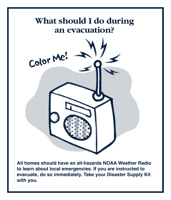

**All homes should have an all-hazards NOAA Weather Radio to learn about local emergencies. If you are instructed to evacuate, do so immediately. Take your Disaster Supply Kit with you.**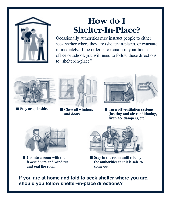

#### **How do I Shelter-In-Place?**

Occasionally authorities may instruct people to either seek shelter where they are (shelter-in-place), or evacuate immediately. If the order is to remain in your home, office or school, you will need to follow these directions to "shelter-in-place."



- **Stay or go inside.**
- 







■ Turn off ventilation systems **(heating and air-conditioning, fireplace dampers, etc.).**



■ Go into a room with the **fewest doors and windows and seal the room.**



■ Stay in the room until told by **the authorities that it is safe to come out.**

**If you are at home and told to seek shelter where you are, should you follow shelter-in-place directions?**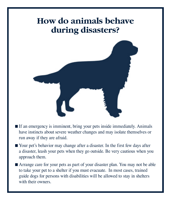#### **How do animals behave during disasters?**



- If an emergency is imminent, bring your pets inside immediately. Animals have instincts about severe weather changes and may isolate themselves or run away if they are afraid.
- Your pet's behavior may change after a disaster. In the first few days after a disaster, leash your pets when they go outside. Be very cautious when you approach them.
- Arrange care for your pets as part of your disaster plan. You may not be able to take your pet to a shelter if you must evacuate. In most cases, trained guide dogs for persons with disabilities will be allowed to stay in shelters with their owners.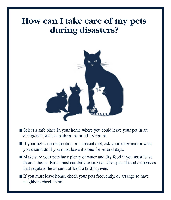#### **How can I take care of my pets during disasters?**



- Select a safe place in your home where you could leave your pet in an emergency, such as bathrooms or utility rooms.
- If your pet is on medication or a special diet, ask your veterinarian what you should do if you must leave it alone for several days.
- Make sure your pets have plenty of water and dry food if you must leave them at home. Birds must eat daily to survive. Use special food dispensers that regulate the amount of food a bird is given.
- If you must leave home, check your pets frequently, or arrange to have neighbors check them.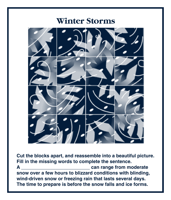#### **Winter Storms**



**Cut the blocks apart, and reassemble into a beautiful picture. Fill in the missing words to complete the sentence. A \_\_\_\_\_\_\_\_\_\_\_\_\_\_\_\_\_\_\_\_\_\_\_\_\_\_ can range from moderate snow over a few hours to blizzard conditions with blinding, wind-driven snow or freezing rain that lasts several days. The time to prepare is before the snow falls and ice forms.**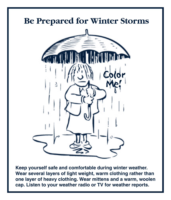

**Keep yourself safe and comfortable during winter weather. Wear several layers of light weight, warm clothing rather than one layer of heavy clothing. Wear mittens and a warm, woolen cap. Listen to your weather radio or TV for weather reports.**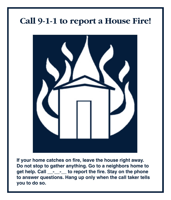#### **Call 9-1-1 to report a House Fire!**



**If your home catches on fire, leave the house right away. Do not stop to gather anything. Go to a neighbors home to get help. Call \_\_-\_\_-\_\_ to report the fire. Stay on the phone to answer questions. Hang up only when the call taker tells you to do so.**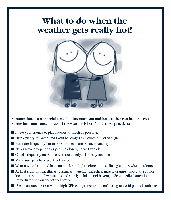#### **What to do when the weather gets really hot!**



**Summertime is a wonderful time, but too much sun and hot weather can be dangerous. Severe heat may cause illness. If the weather is hot, follow these practices:**

- $\blacksquare$  Invite your friends to play indoors as much as possible.
- Drink plenty of water, and avoid beverages that contain a lot of sugar.
- Eat more frequently but make sure meals are balanced and light.
- Never leave any person or pet in a closed, parked vehicle.
- Check frequently on people who are elderly, ill or may need help.
- $\blacksquare$  Make sure pets have plenty of water.
- Wear a wide-brimmed hat, sun block and light-colored, loose-fitting clothes when outdoors.
- At first signs of heat illness (dizziness, nausea, headaches, muscle cramps), move to a cooler location, rest for a few minutes and slowly drink a cool beverage. Seek medical attention immediately if you do not feel better.
- Use a sunscreen lotion with a high SPF (sun protection factor) rating to avoid painful sunburns.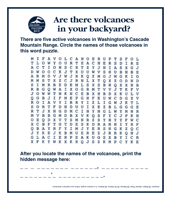

#### **Are there volcanoes in your backyard?**

**There are five active volcanoes in Washington's Cascade Mountain Range. Circle the names of those volcanoes in this word puzzle.**

м I F  $\circ$ LС AN  $\circ$ E R U P L A C H E т.  $\circ$  $\circ$ U<sub>R</sub> ጥ s Y Е R D в s c  $\mathbb{T}$ Y. т I N R z J N Ω I А s x  $\cdot$ T X U К J T w O с UWVSH  $\Omega$ U B н в **JWJRK** ZMGJMG R M D v  $\circ$ O T O s  $\mathbf{z}$ CJRNLX м M т x x z o DEML **XSBHOX** s T м R B E s в x IXOG R в G O w A R M тv v J т v J W K N C E в X H B  $\circ$ W N D X K U MEPG  $F$ o  $\mathbf{B}$ F н E U **W** C D ο IRRY L  $\mathbf{I}$ R оr А Y I  $\mathbf{z}$ G W J к т. s HDUU  $\circ$ R D I X E Z B L G G J x GDMCI NYNGL н W Y м R м в в G M D B x v K Q S F Y с J P K v н ο в o D х v т s M N R z s Y н Y YFW C x c в F G т D E S к DRA м нī Y н F м R S ο в х F Y х J Y E н G K z o с J Y K B M **U** E E ZJRRK R N J т. E R P E A K UGS G I X B Y I с  $\mathbb R$ X F K X K R O J S Z K M P C. E W

**After you locate the names of the volcanoes, print the hidden message here:**

|                    | —— — ——————— ——————J —————— ———— |
|--------------------|----------------------------------|
|                    |                                  |
| __________________ |                                  |

Answers: Mt Baker, Glacier Peak, Mt Rainier, Mt St Helens, Mt Adams. If a volcano erupts, follow your teacher's directions.